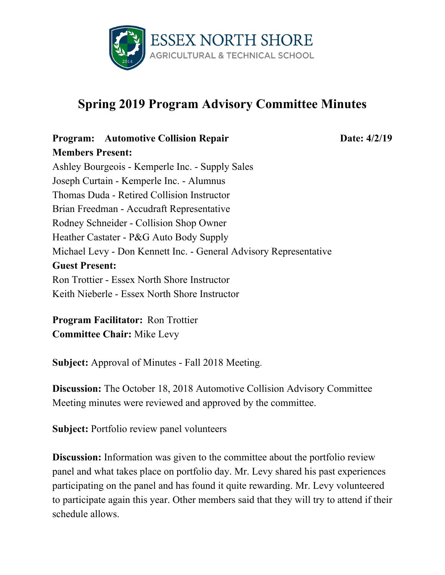

# **Spring 2019 Program Advisory Committee Minutes**

### **Program: Automotive Collision Repair Date:** 4/2/19 **Members Present:**

Ashley Bourgeois - Kemperle Inc. - Supply Sales Joseph Curtain - Kemperle Inc. - Alumnus Thomas Duda - Retired Collision Instructor Brian Freedman - Accudraft Representative Rodney Schneider - Collision Shop Owner Heather Castater - P&G Auto Body Supply Michael Levy - Don Kennett Inc. - General Advisory Representative **Guest Present:** Ron Trottier - Essex North Shore Instructor Keith Nieberle - Essex North Shore Instructor

**Program Facilitator:** Ron Trottier **Committee Chair:** Mike Levy

**Subject:** Approval of Minutes - Fall 2018 Meeting.

**Discussion:** The October 18, 2018 Automotive Collision Advisory Committee Meeting minutes were reviewed and approved by the committee.

**Subject:** Portfolio review panel volunteers

**Discussion:** Information was given to the committee about the portfolio review panel and what takes place on portfolio day. Mr. Levy shared his past experiences participating on the panel and has found it quite rewarding. Mr. Levy volunteered to participate again this year. Other members said that they will try to attend if their schedule allows.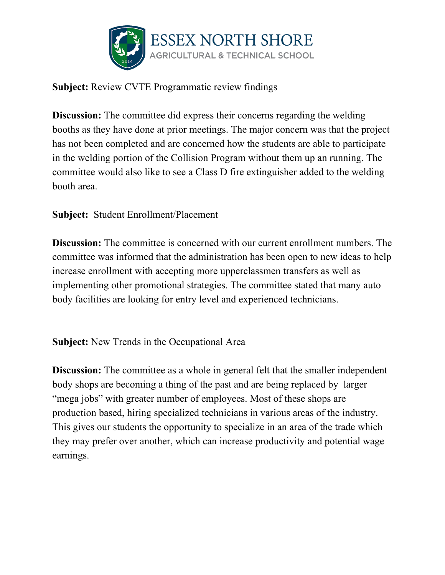

## **Subject:** Review CVTE Programmatic review findings

**Discussion:** The committee did express their concerns regarding the welding booths as they have done at prior meetings. The major concern was that the project has not been completed and are concerned how the students are able to participate in the welding portion of the Collision Program without them up an running. The committee would also like to see a Class D fire extinguisher added to the welding booth area.

## **Subject:** Student Enrollment/Placement

**Discussion:** The committee is concerned with our current enrollment numbers. The committee was informed that the administration has been open to new ideas to help increase enrollment with accepting more upperclassmen transfers as well as implementing other promotional strategies. The committee stated that many auto body facilities are looking for entry level and experienced technicians.

**Subject:** New Trends in the Occupational Area

**Discussion:** The committee as a whole in general felt that the smaller independent body shops are becoming a thing of the past and are being replaced by larger "mega jobs" with greater number of employees. Most of these shops are production based, hiring specialized technicians in various areas of the industry. This gives our students the opportunity to specialize in an area of the trade which they may prefer over another, which can increase productivity and potential wage earnings.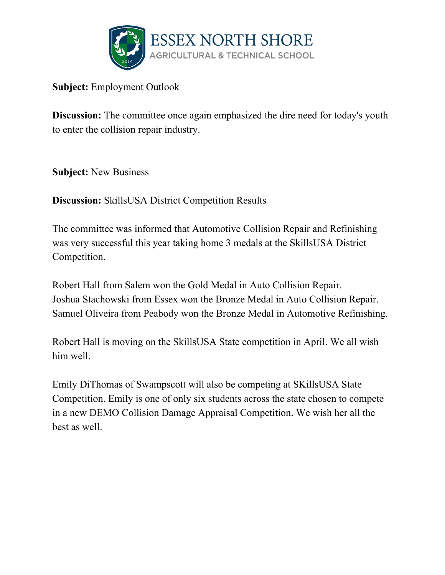

**Subject:** Employment Outlook

**Discussion:** The committee once again emphasized the dire need for today's youth to enter the collision repair industry.

**Subject:** New Business

**Discussion:** SkillsUSA District Competition Results

The committee was informed that Automotive Collision Repair and Refinishing was very successful this year taking home 3 medals at the SkillsUSA District Competition.

Robert Hall from Salem won the Gold Medal in Auto Collision Repair. Joshua Stachowski from Essex won the Bronze Medal in Auto Collision Repair. Samuel Oliveira from Peabody won the Bronze Medal in Automotive Refinishing.

Robert Hall is moving on the SkillsUSA State competition in April. We all wish him well.

Emily DiThomas of Swampscott will also be competing at SKillsUSA State Competition. Emily is one of only six students across the state chosen to compete in a new DEMO Collision Damage Appraisal Competition. We wish her all the best as well.